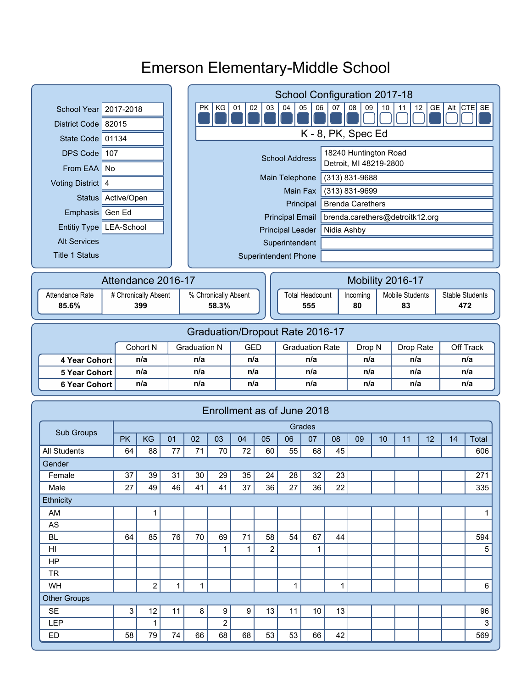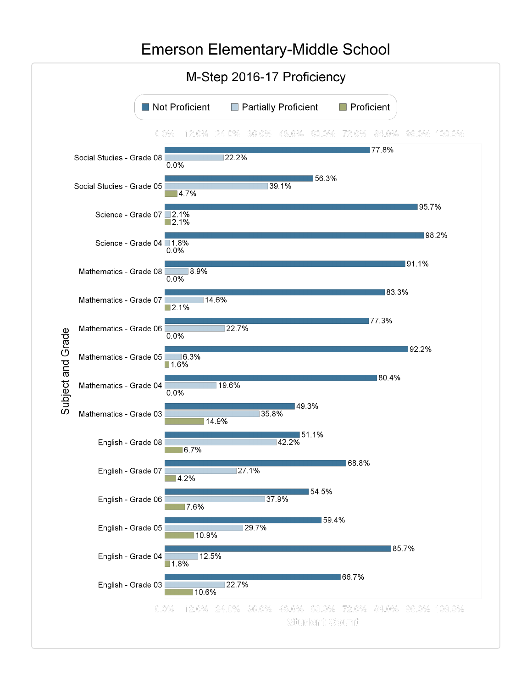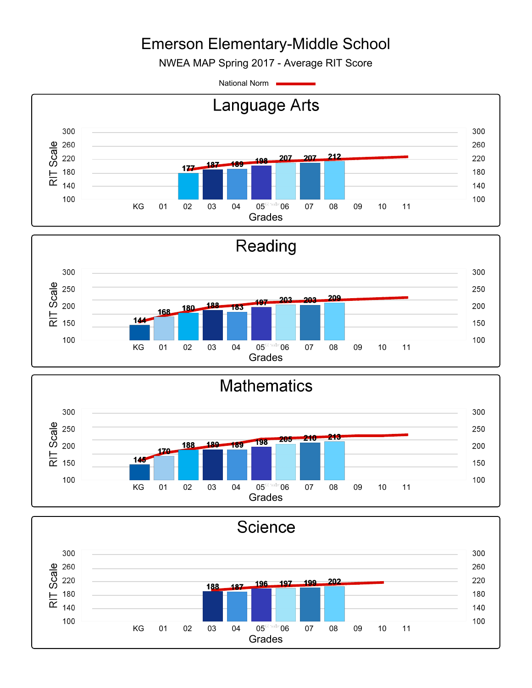NWEA MAP Spring 2017 - Average RIT Score

National Norm